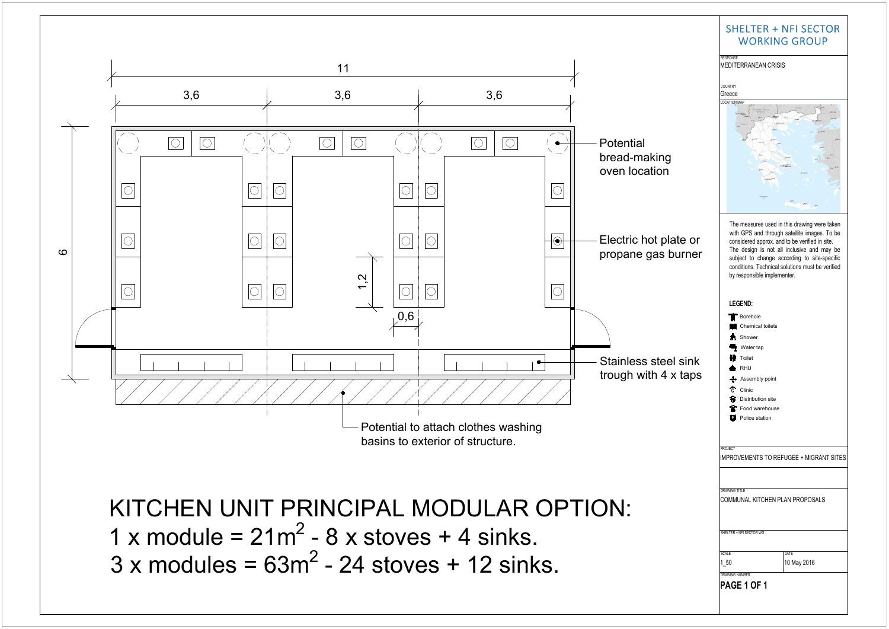KITCHEN UNIT PRINCIPAL MODULAR OPTION: 1 x module =  $21m^2 - 8$  x stoves + 4 sinks.